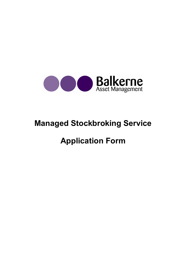

# Managed Stockbroking Service

# Application Form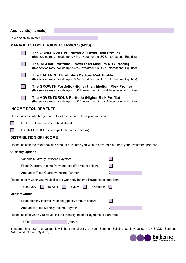# Applicant(s) name(s):

I / We apply to invest £

## MANAGED STOCKBROKING SERVICES (MSS)

(this service may include up to 45% investment in UK & International Equities)

The CONSERVATIVE Portfolio (Lower Risk Profile)

The BALANCED Portfolio (Medium Risk Profile)



 The INCOME Portfolio (Lower than Medium Risk Profile) (this service may include up to 67% investment in UK & International Equities)



(this service may include up to 83% investment in UK & International Equities)

 The GROWTH Portfolio (Higher than Medium Risk Profile) (this service may include up to 100% investment in UK & International Equities)

 The ADVENTUROUS Portfolio (Higher Risk Profile) (this service may include up to 100% investment in UK & International Equities)

## INCOME REQUIREMENTS

Please indicate whether you wish to take an income from your investment

- REINVEST (No income to be distributed)
- DISTRIBUTE (Please complete the section below)

## DISTRIBUTION OF INCOME

Please indicate the frequency and amount of income you wish to have paid out from your investment portfolio

## Quarterly Options

| Variable Quarterly Dividend Payment                                            |   |  |  |
|--------------------------------------------------------------------------------|---|--|--|
| Fixed Quarterly Income Payment (specify amount below)                          |   |  |  |
| Amount of Fixed Quarterly Income Payment                                       | £ |  |  |
| Please specify when you would like the Quarterly Income Payments to start from |   |  |  |
| 18 April<br>18 July<br>18 October<br>18 January                                |   |  |  |
| <b>Monthly Option</b>                                                          |   |  |  |
| Fixed Monthly Income Payment (specify amount below)                            |   |  |  |
| Amount of Fixed Monthly Income Payment                                         | £ |  |  |
| Please indicate when you would like the Monthly Income Payments to start from  |   |  |  |

Please indicate when you would like the Monthly Income Payments to start from

18<sup>th</sup> of (month)

If income has been requested it will be sent directly to your Bank or Building Society account by BACS (Bankers Automated Clearing System).

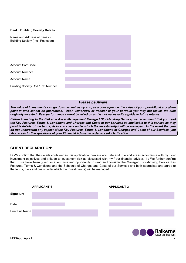### Bank / Building Society Details

| Name and Address of Bank or<br>Building Society (Incl. Postcode) |  |
|------------------------------------------------------------------|--|
| <b>Account Sort Code</b>                                         |  |
| <b>Account Number</b>                                            |  |
| <b>Account Name</b>                                              |  |
| <b>Building Society Roll / Ref Number</b>                        |  |

## Please be Aware

The value of investments can go down as well as up and, as a consequence, the value of your portfolio at any given point in time cannot be guaranteed. Upon withdrawal or transfer of your portfolio you may not realise the sum originally invested. Past performance cannot be relied on and is not necessarily a guide to future returns.

Before investing in the Balkerne Asset Management Managed Stockbroking Service, we recommend that you read the Key Features, Terms & Conditions and Charges and Costs of our Services as applicable to this service as they provide details of the terms, risks and costs under which the investment(s) will be managed. In the event that you do not understand any aspect of the Key Features, Terms & Conditions or Charges and Costs of our Services, you should ask further questions of your Financial Adviser in order to seek clarification.

## CLIENT DECLARATION:

I / We confirm that the details contained in this application form are accurate and true and are in accordance with my / our investment objectives and attitude to investment risk as discussed with my / our financial adviser. I / We further confirm that I / we have been given sufficient time and opportunity to read and consider the Managed Stockbroking Service Key Features, Terms & Conditions and the Schedule of Charges and Costs of our Services and both appreciate and agree to the terms, risks and costs under which the investment(s) will be managed.

|                        | <b>APPLICANT 1</b> | <b>APPLICANT 2</b> |  |
|------------------------|--------------------|--------------------|--|
| <b>Signature</b>       |                    |                    |  |
| Date                   |                    |                    |  |
| <b>Print Full Name</b> |                    |                    |  |
|                        |                    |                    |  |